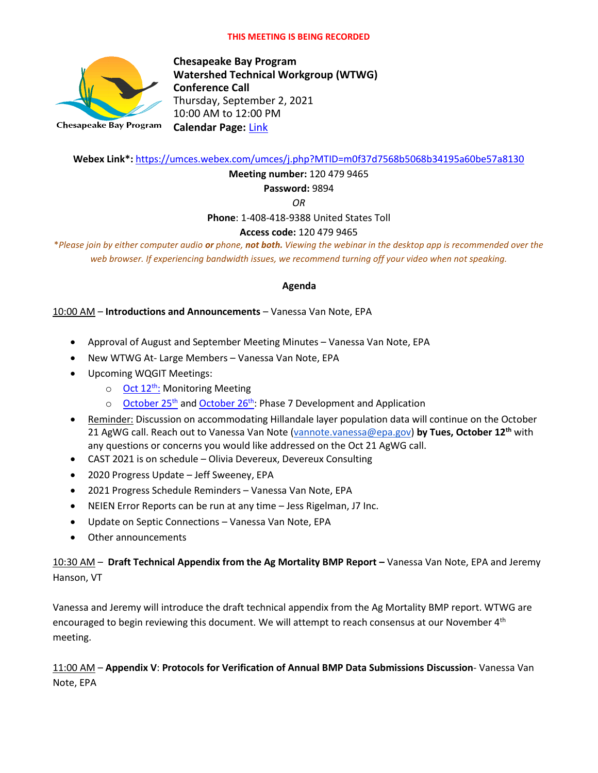

**Chesapeake Bay Program Watershed Technical Workgroup (WTWG) Conference Call** Thursday, September 2, 2021 10:00 AM to 12:00 PM **Calendar Page:** [Link](https://www.chesapeakebay.net/what/event/watershed_technical_workgroup_conference_call_october_2021)

**Webex Link\*:** <https://umces.webex.com/umces/j.php?MTID=m0f37d7568b5068b34195a60be57a8130>

**Meeting number:** 120 479 9465

**Password:** 9894

*OR*

**Phone**: 1-408-418-9388 United States Toll

## **Access code:** 120 479 9465

\**Please join by either computer audio or phone, not both. Viewing the webinar in the desktop app is recommended over the web browser. If experiencing bandwidth issues, we recommend turning off your video when not speaking.*

#### **Agenda**

10:00 AM – **Introductions and Announcements** – Vanessa Van Note, EPA

- Approval of August and September Meeting Minutes Vanessa Van Note, EPA
- New WTWG At- Large Members Vanessa Van Note, EPA
- Upcoming WQGIT Meetings:
	- $\circ$  [Oct 12](https://www.chesapeakebay.net/what/event/water_quality_goal_implementation_team_monitoring_meeting_october_12_2021)<sup>th</sup>: Monitoring Meeting
	- $\circ$  [October 25](https://www.chesapeakebay.net/what/event/water_quality_goal_implementation_team_conference_call_october_25_2021)<sup>th</sup> and [October 26](https://www.chesapeakebay.net/what/event/day_2_water_quality_goal_implementation_team_conference_call_october_26_202)<sup>th</sup>: Phase 7 Development and Application
- Reminder: Discussion on accommodating Hillandale layer population data will continue on the October 21 AgWG call. Reach out to Vanessa Van Note [\(vannote.vanessa@epa.gov\)](mailto:vannote.vanessa@epa.gov) **by Tues, October 12th** with any questions or concerns you would like addressed on the Oct 21 AgWG call.
- CAST 2021 is on schedule Olivia Devereux, Devereux Consulting
- 2020 Progress Update Jeff Sweeney, EPA
- 2021 Progress Schedule Reminders Vanessa Van Note, EPA
- NEIEN Error Reports can be run at any time Jess Rigelman, J7 Inc.
- Update on Septic Connections Vanessa Van Note, EPA
- Other announcements

# 10:30 AM - Draft Technical Appendix from the Ag Mortality BMP Report - Vanessa Van Note, EPA and Jeremy Hanson, VT

Vanessa and Jeremy will introduce the draft technical appendix from the Ag Mortality BMP report. WTWG are encouraged to begin reviewing this document. We will attempt to reach consensus at our November 4<sup>th</sup> meeting.

# 11:00 AM – **Appendix V**: **Protocols for Verification of Annual BMP Data Submissions Discussion**- Vanessa Van Note, EPA